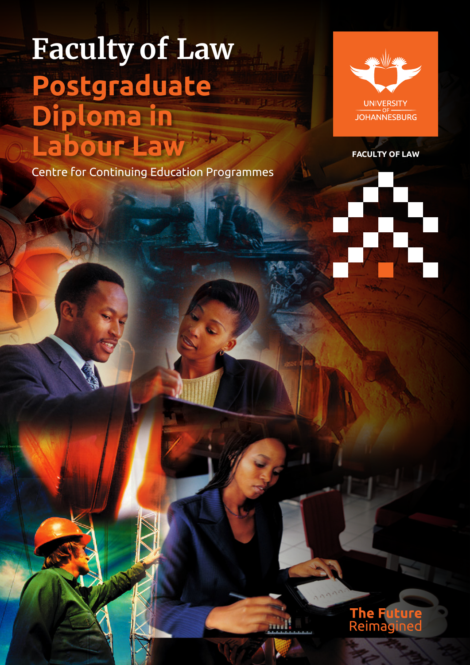# **Faculty of Law Postgraduate Diploma in Labour Law**

Centre for Continuing Education Programmes



**FACULTY OF LA W**

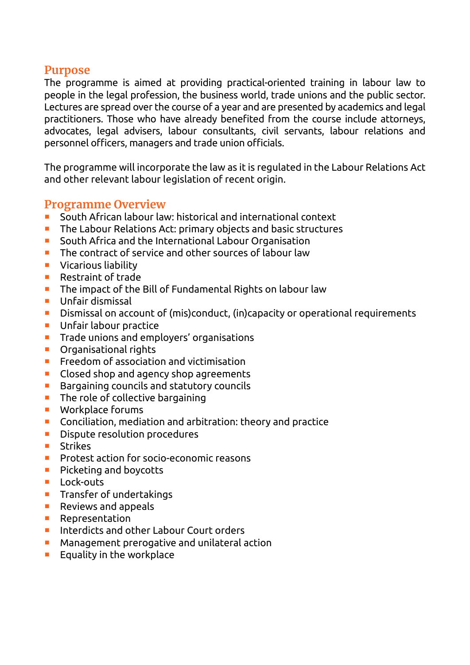#### **Purpose**

The programme is aimed at providing practical-oriented training in labour law to people in the legal profession, the business world, trade unions and the public sector. Lectures are spread over the course of a year and are presented by academics and legal practitioners. Those who have already benefited from the course include attorneys, advocates, legal advisers, labour consultants, civil servants, labour relations and personnel officers, managers and trade union officials.

The programme will incorporate the law as it is regulated in the Labour Relations Act and other relevant labour legislation of recent origin.

#### **Programme Overview**

- South African labour law: historical and international context
- **The Labour Relations Act: primary objects and basic structures**
- **E** South Africa and the International Labour Organisation
- **The contract of service and other sources of labour law**
- **Vicarious liability**
- Restraint of trade
- **The impact of the Bill of Fundamental Rights on labour law**
- **Unfair dismissal**
- Dismissal on account of (mis)conduct, (in)capacity or operational requirements
- **Unfair labour practice**
- **Trade unions and employers' organisations**
- Organisational rights
- **Freedom of association and victimisation**
- Closed shop and agency shop agreements
- **Bargaining councils and statutory councils**
- $\blacksquare$  The role of collective bargaining
- Workplace forums
- **Conciliation, mediation and arbitration: theory and practice**
- **Dispute resolution procedures**
- Strikes
- **Protest action for socio-economic reasons**
- **Picketing and boycotts**
- **Lock-outs**
- $\blacksquare$  Transfer of undertakings
- **Reviews and appeals**
- **Representation**
- **Interdicts and other Labour Court orders**
- **Management prerogative and unilateral action**
- $\blacksquare$  Equality in the workplace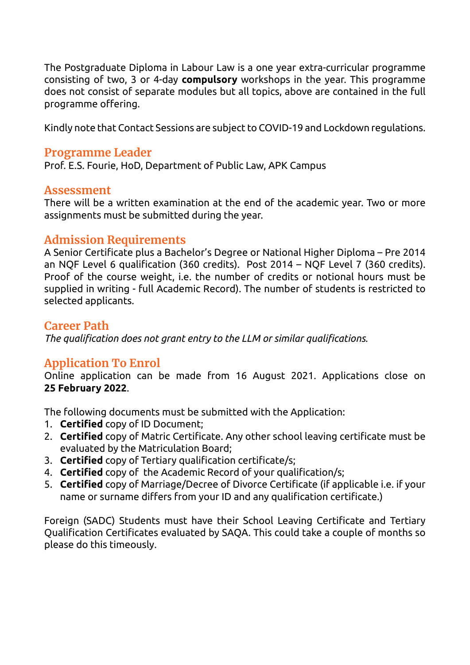The Postgraduate Diploma in Labour Law is a one year extra-curricular programme consisting of two, 3 or 4-day **compulsory** workshops in the year. This programme does not consist of separate modules but all topics, above are contained in the full programme offering.

Kindly note that Contact Sessions are subject to COVID-19 and Lockdown regulations.

#### **Programme Leader**

Prof. E.S. Fourie, HoD, Department of Public Law, APK Campus

#### **Assessment**

There will be a written examination at the end of the academic year. Two or more assignments must be submitted during the year.

## **Admission Requirements**

A Senior Certificate plus a Bachelor's Degree or National Higher Diploma – Pre 2014 an NQF Level 6 qualification (360 credits). Post 2014 – NQF Level 7 (360 credits). Proof of the course weight, i.e. the number of credits or notional hours must be supplied in writing - full Academic Record). The number of students is restricted to selected applicants.

#### **Career Path**

*The qualification does not grant entry to the LLM or similar qualifications.*

# **Application To Enrol**

Online application can be made from 16 August 2021. Applications close on **25 February 2022**.

The following documents must be submitted with the Application:

- 1. **Certified** copy of ID Document;
- 2. **Certified** copy of Matric Certificate. Any other school leaving certificate must be evaluated by the Matriculation Board;
- 3. **Certified** copy of Tertiary qualification certificate/s;
- 4. **Certified** copy of the Academic Record of your qualification/s;
- 5. **Certified** copy of Marriage/Decree of Divorce Certificate (if applicable i.e. if your name or surname differs from your ID and any qualification certificate.)

Foreign (SADC) Students must have their School Leaving Certificate and Tertiary Qualification Certificates evaluated by SAQA. This could take a couple of months so please do this timeously.